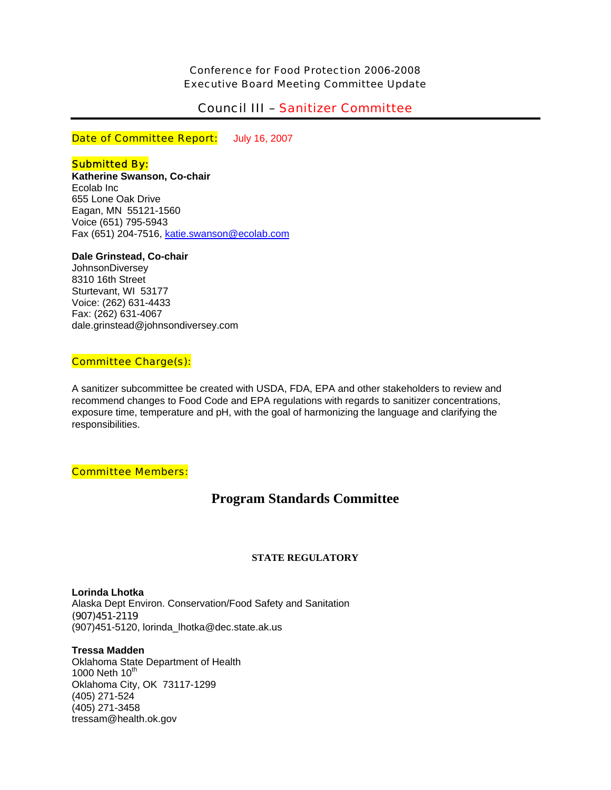Conference for Food Protection 2006-2008 Executive Board Meeting Committee Update

# Council III – Sanitizer Committee

Date of Committee Report: July 16, 2007

# **Submitted By:**

**Katherine Swanson, Co-chair**  Ecolab Inc 655 Lone Oak Drive Eagan, MN 55121-1560 Voice (651) 795-5943 Fax (651) 204-7516, [katie.swanson@ecolab.com](mailto:katie.swanson@ecolab.com)

# **Dale Grinstead, Co-chair**

**JohnsonDiversey** 8310 16th Street Sturtevant, WI 53177 Voice: (262) 631-4433 Fax: (262) 631-4067 dale.grinstead@johnsondiversey.com

# Committee Charge(s):

A sanitizer subcommittee be created with USDA, FDA, EPA and other stakeholders to review and recommend changes to Food Code and EPA regulations with regards to sanitizer concentrations, exposure time, temperature and pH, with the goal of harmonizing the language and clarifying the responsibilities.

# Committee Members:

# **Program Standards Committee**

# **STATE REGULATORY**

**Lorinda Lhotka**  Alaska Dept Environ. Conservation/Food Safety and Sanitation (907)451-2119 (907)451-5120, lorinda\_lhotka@dec.state.ak.us

# **Tressa Madden**

Oklahoma State Department of Health 1000 Neth  $10^{th}$ Oklahoma City, OK 73117-1299 (405) 271-524 (405) 271-3458 tressam@health.ok.gov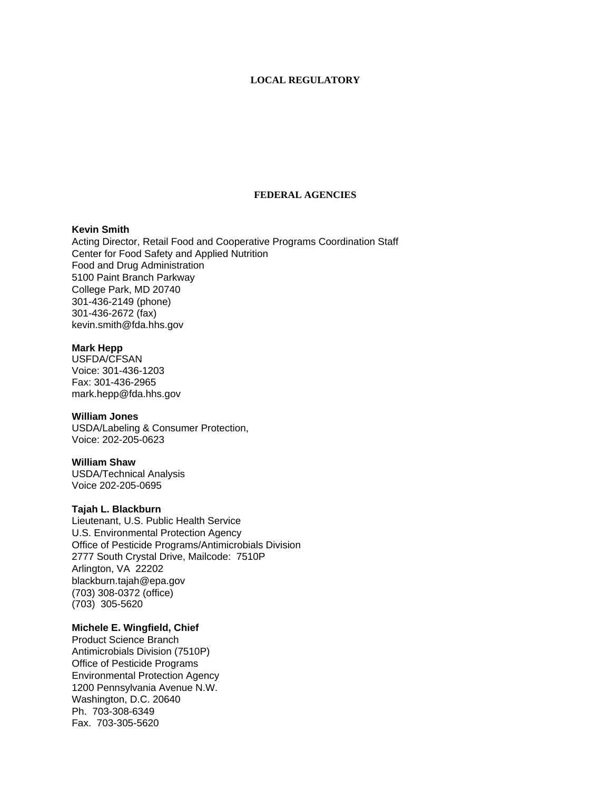## **LOCAL REGULATORY**

# **FEDERAL AGENCIES**

# **Kevin Smith**

Acting Director, Retail Food and Cooperative Programs Coordination Staff Center for Food Safety and Applied Nutrition Food and Drug Administration 5100 Paint Branch Parkway College Park, MD 20740 301-436-2149 (phone) 301-436-2672 (fax) kevin.smith@fda.hhs.gov

#### **Mark Hepp**

USFDA/CFSAN Voice: 301-436-1203 Fax: 301-436-2965 mark.hepp@fda.hhs.gov

### **William Jones**

USDA/Labeling & Consumer Protection, Voice: 202-205-0623

### **William Shaw**

USDA/Technical Analysis Voice 202-205-0695

# **Tajah L. Blackburn**

Lieutenant, U.S. Public Health Service U.S. Environmental Protection Agency Office of Pesticide Programs/Antimicrobials Division 2777 South Crystal Drive, Mailcode: 7510P Arlington, VA 22202 blackburn.tajah@epa.gov (703) 308-0372 (office) (703) 305-5620

# **Michele E. Wingfield, Chief**

Product Science Branch Antimicrobials Division (7510P) Office of Pesticide Programs Environmental Protection Agency 1200 Pennsylvania Avenue N.W. Washington, D.C. 20640 Ph. 703-308-6349 Fax. 703-305-5620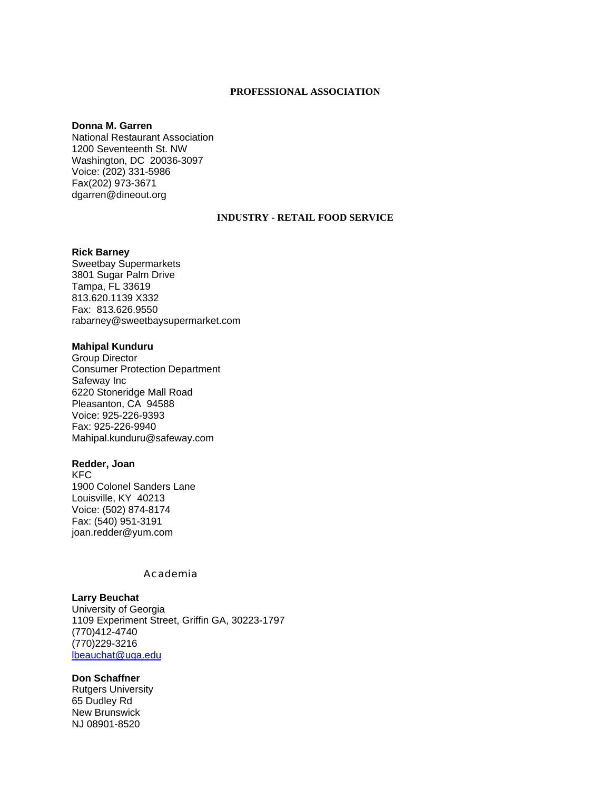#### **PROFESSIONAL ASSOCIATION**

### **Donna M. Garren**

National Restaurant Association 1200 Seventeenth St. NW Washington, DC 20036-3097 Voice: (202) 331-5986 Fax(202) 973-3671 dgarren@dineout.org

#### **INDUSTRY - RETAIL FOOD SERVICE**

### **Rick Barney**

Sweetbay Supermarkets 3801 Sugar Palm Drive Tampa, FL 33619 813.620.1139 X332 Fax: 813.626.9550 rabarney@sweetbaysupermarket.com

# **Mahipal Kunduru**

Group Director Consumer Protection Department Safeway Inc 6220 Stoneridge Mall Road Pleasanton, CA 94588 Voice: 925-226-9393 Fax: 925-226-9940 Mahipal.kunduru@safeway.com

#### **Redder, Joan**

KFC 1900 Colonel Sanders Lane Louisville, KY 40213 Voice: (502) 874-8174 Fax: (540) 951-3191 joan.redder@yum.com

# Academia

### **Larry Beuchat**

University of Georgia 1109 Experiment Street, Griffin GA, 30223-1797 (770)412-4740 (770)229-3216 [lbeauchat@uga.edu](mailto:lbeauchat@uga.edu)

#### **Don Schaffner**

Rutgers University 65 Dudley Rd New Brunswick NJ 08901-8520